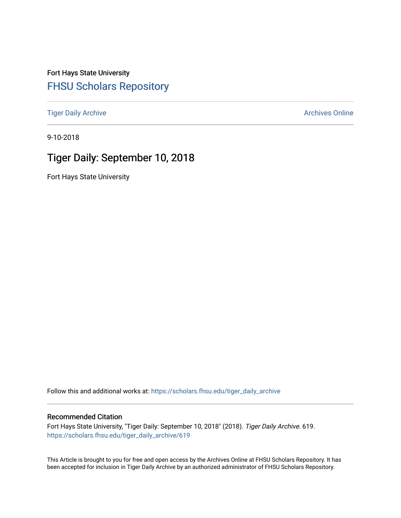Fort Hays State University [FHSU Scholars Repository](https://scholars.fhsu.edu/) 

[Tiger Daily Archive](https://scholars.fhsu.edu/tiger_daily_archive) **Archives** Online Archives Online

9-10-2018

# Tiger Daily: September 10, 2018

Fort Hays State University

Follow this and additional works at: [https://scholars.fhsu.edu/tiger\\_daily\\_archive](https://scholars.fhsu.edu/tiger_daily_archive?utm_source=scholars.fhsu.edu%2Ftiger_daily_archive%2F619&utm_medium=PDF&utm_campaign=PDFCoverPages)

#### Recommended Citation

Fort Hays State University, "Tiger Daily: September 10, 2018" (2018). Tiger Daily Archive. 619. [https://scholars.fhsu.edu/tiger\\_daily\\_archive/619](https://scholars.fhsu.edu/tiger_daily_archive/619?utm_source=scholars.fhsu.edu%2Ftiger_daily_archive%2F619&utm_medium=PDF&utm_campaign=PDFCoverPages)

This Article is brought to you for free and open access by the Archives Online at FHSU Scholars Repository. It has been accepted for inclusion in Tiger Daily Archive by an authorized administrator of FHSU Scholars Repository.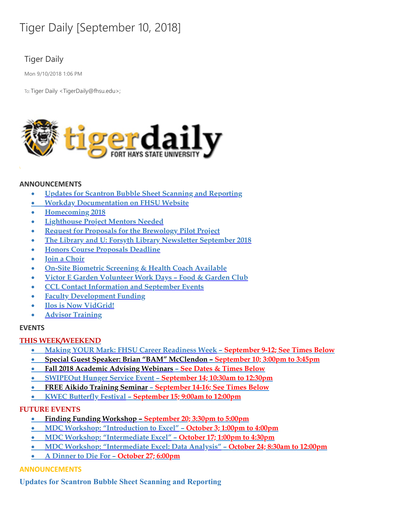# Tiger Daily [September 10, 2018]

# Tiger Daily

Mon 9/10/2018 1:06 PM

To: Tiger Daily < TigerDaily@fhsu.edu>;



#### **ANNOUNCEMENTS**

- · **Updates for Scantron Bubble Sheet Scanning and Reporting**
- · **Workday [Documentation](#page-2-0) on FHSU Website**
- · **Homecoming 2018**
- · **Lighthouse Project Mentors Needed**
- · **Request for Proposals for the Brewology Pilot Project**
- · **The Library and U: Forsyth Library Newsletter September 2018**
- · **Honors Course Proposals Deadline**
- · **Join a Choir**
- · **On-Site Biometric Screening & Health Coach Available**
- · **Victor E Garden Volunteer Work Days – Food & Garden Club**
- · **CCL Contact [Information](#page-8-0) and September Events**
- · **Faculty Development Funding**
- · **Ilos is Now [VidGrid!](#page-10-0)**
- · **Advisor Training**

#### **EVENTS**

#### **THIS WEEK/WEEKEND**

- · **Making YOUR Mark: FHSU Career [Readiness](#page-10-1) Week – September 9-12; See Times Below**
- · **Special Guest Speaker: Brian "BAM" [McClendon](#page-11-0) – September 10; 3:00pm to 3:45pm**
- · **Fall 2018 Academic Advising Webinars – See Dates & Times Below**
- · **SWIPEOut Hunger Service Event – September 14; 10:30am to 12:30pm**
- · **FREE Aikido Training Seminar – September 14-16; See Times Below**
- · **KWEC Butterfly Festival – September 15; 9:00am to 12:00pm**

# **FUTURE EVENTS**

- · **Finding Funding Workshop – September 20; 3:30pm to 5:00pm**
- · **MDC Workshop: ["Introduction](#page-13-0) to Excel" – October 3; 1:00pm to 4:00pm**
- · **MDC Workshop: "Intermediate Excel" – October 17; 1:00pm to 4:30pm**
- · **MDC Workshop: "Intermediate Excel: Data Analysis" – October 24; 8:30am to 12:00pm**
- · **A Dinner to Die For – October 27; 6:00pm**

# **ANNOUNCEMENTS**

**Updates for Scantron Bubble Sheet Scanning and Reporting**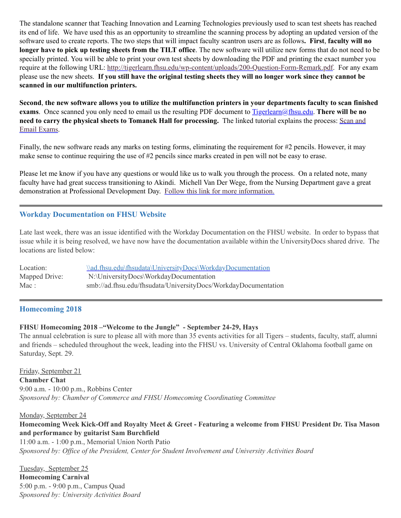The standalone scanner that Teaching Innovation and Learning Technologies previously used to scan test sheets has reached its end of life. We have used this as an opportunity to streamline the scanning process by adopting an updated version of the software used to create reports. The two steps that will impact faculty scantron users are as follows**. First**, **faculty will no longer have to pick up testing sheets from the TILT office**. The new software will utilize new forms that do not need to be specially printed. You will be able to print your own test sheets by downloading the PDF and printing the exact number you require at the following URL: <http://tigerlearn.fhsu.edu/wp-content/uploads/200-Question-Form-Remark.pdf>. For any exam please use the new sheets. If you still have the original testing sheets they will no longer work since they cannot be **scanned in our multifunction printers.**

Second, the new software allows you to utilize the multifunction printers in your departments faculty to scan finished **exams**. Once scanned you only need to email us the resulting PDF document to [Tigerlearn@fhsu.edu](mailto:Tigerlearn@fhsu.edu). **There will be no need to carry the physical sheets to Tomanek Hall for [processing.](https://ilos.video/Q76dMF)** The linked tutorial explains the process: Scan and Email Exams.

Finally, the new software reads any marks on testing forms, eliminating the requirement for #2 pencils. However, it may make sense to continue requiring the use of #2 pencils since marks created in pen will not be easy to erase.

Please let me know if you have any questions or would like us to walk you through the process. On a related note, many faculty have had great success transitioning to Akindi. Michell Van Der Wege, from the Nursing Department gave a great demonstration at Professional Development Day. Follow this link for more [information.](http://tigerlearn.fhsu.edu/akindi/)

# <span id="page-2-0"></span>**Workday Documentation on FHSU Website**

Late last week, there was an issue identified with the Workday Documentation on the FHSU website. In order to bypass that issue while it is being resolved, we have now have the documentation available within the UniversityDocs shared drive. The locations are listed below:

| Location:     | \\ad.fhsu.edu\fhsudata\UniversityDocs\WorkdayDocumentation     |
|---------------|----------------------------------------------------------------|
| Mapped Drive: | N:\UniversityDocs\WorkdayDocumentation                         |
| Mac:          | smb://ad.fhsu.edu/fhsudata/UniversityDocs/WorkdayDocumentation |

#### **Homecoming 2018**

#### **FHSU Homecoming 2018 –"Welcome to the Jungle" - September 24-29, Hays**

The annual celebration is sure to please all with more than 35 events activities for all Tigers – students, faculty, staff, alumni and friends – scheduled throughout the week, leading into the FHSU vs. University of Central Oklahoma football game on Saturday, Sept. 29.

Friday, September 21 **Chamber Chat** 9:00 a.m. - 10:00 p.m., Robbins Center *Sponsored by: Chamber of Commerce and FHSU Homecoming Coordinating Committee*

Monday, September 24 Homecoming Week Kick-Off and Royalty Meet & Greet - Featuring a welcome from FHSU President Dr. Tisa Mason **and performance by guitarist Sam Burchfield**

11:00 a.m. - 1:00 p.m., Memorial Union North Patio *Sponsored by: Office of the President, Center for Student Involvement and University Activities Board*

Tuesday, September 25 **Homecoming Carnival** 5:00 p.m. - 9:00 p.m., Campus Quad *Sponsored by: University Activities Board*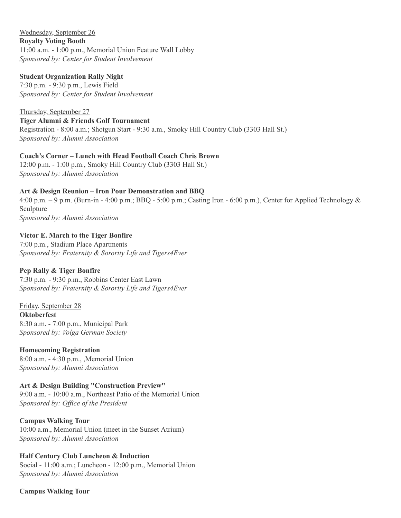Wednesday, September 26 **Royalty Voting Booth** 11:00 a.m. - 1:00 p.m., Memorial Union Feature Wall Lobby *Sponsored by: Center for Student Involvement*

#### **Student Organization Rally Night**

7:30 p.m. - 9:30 p.m., Lewis Field *Sponsored by: Center for Student Involvement*

Thursday, September 27 **Tiger Alumni & Friends Golf Tournament** Registration - 8:00 a.m.; Shotgun Start - 9:30 a.m., Smoky Hill Country Club (3303 Hall St.) *Sponsored by: Alumni Association*

# **Coach's Corner – Lunch with Head Football Coach Chris Brown**

12:00 p.m. - 1:00 p.m., Smoky Hill Country Club (3303 Hall St.) *Sponsored by: Alumni Association*

#### **Art & Design Reunion – Iron Pour Demonstration and BBQ**

4:00 p.m. – 9 p.m. (Burn-in - 4:00 p.m.; BBQ - 5:00 p.m.; Casting Iron - 6:00 p.m.), Center for Applied Technology & Sculpture *Sponsored by: Alumni Association*

#### **Victor E. March to the Tiger Bonfire**

7:00 p.m., Stadium Place Apartments *Sponsored by: Fraternity & Sorority Life and Tigers4Ever*

#### **Pep Rally & Tiger Bonfire**

7:30 p.m. - 9:30 p.m., Robbins Center East Lawn *Sponsored by: Fraternity & Sorority Life and Tigers4Ever*

Friday, September 28 **Oktoberfest** 8:30 a.m. - 7:00 p.m., Municipal Park *Sponsored by: Volga German Society*

#### **Homecoming Registration**

8:00 a.m. - 4:30 p.m., ,Memorial Union *Sponsored by: Alumni Association*

#### **Art & Design Building "Construction Preview"**

9:00 a.m. - 10:00 a.m., Northeast Patio of the Memorial Union *Sponsored by: Office of the President*

#### **Campus Walking Tour**

10:00 a.m., Memorial Union (meet in the Sunset Atrium) *Sponsored by: Alumni Association*

#### **Half Century Club Luncheon & Induction**

Social - 11:00 a.m.; Luncheon - 12:00 p.m., Memorial Union *Sponsored by: Alumni Association*

#### **Campus Walking Tour**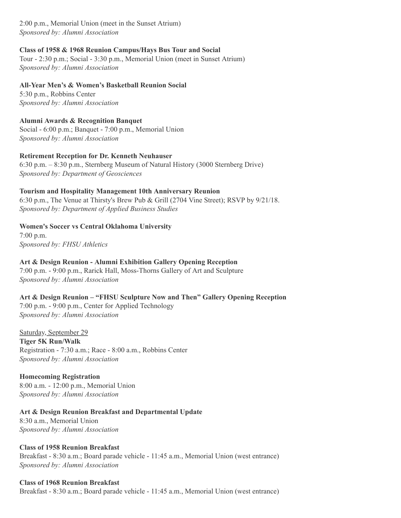2:00 p.m., Memorial Union (meet in the Sunset Atrium) *Sponsored by: Alumni Association*

#### **Class of 1958 & 1968 Reunion Campus/Hays Bus Tour and Social**

Tour - 2:30 p.m.; Social - 3:30 p.m., Memorial Union (meet in Sunset Atrium) *Sponsored by: Alumni Association*

**All-Year Men's & Women's Basketball Reunion Social** 5:30 p.m., Robbins Center

*Sponsored by: Alumni Association*

#### **Alumni Awards & Recognition Banquet** Social - 6:00 p.m.; Banquet - 7:00 p.m., Memorial Union

*Sponsored by: Alumni Association*

# **Retirement Reception for Dr. Kenneth Neuhauser**

6:30 p.m. – 8:30 p.m., Sternberg Museum of Natural History (3000 Sternberg Drive) *Sponsored by: Department of Geosciences*

# **Tourism and Hospitality Management 10th Anniversary Reunion**

6:30 p.m., The Venue at Thirsty's Brew Pub & Grill (2704 Vine Street); RSVP by 9/21/18. *Sponsored by: Department of Applied Business Studies*

**Women's Soccer vs Central Oklahoma University**

7:00 p.m. *Sponsored by: FHSU Athletics*

# **Art & Design Reunion - Alumni Exhibition Gallery Opening Reception**

7:00 p.m. - 9:00 p.m., Rarick Hall, Moss-Thorns Gallery of Art and Sculpture *Sponsored by: Alumni Association*

# **Art & Design Reunion – "FHSU Sculpture Now and Then" Gallery Opening Reception**

7:00 p.m. - 9:00 p.m., Center for Applied Technology *Sponsored by: Alumni Association*

Saturday, September 29 **Tiger 5K Run/Walk** Registration - 7:30 a.m.; Race - 8:00 a.m., Robbins Center *Sponsored by: Alumni Association*

#### **Homecoming Registration**

8:00 a.m. - 12:00 p.m., Memorial Union *Sponsored by: Alumni Association*

**Art & Design Reunion Breakfast and Departmental Update**

8:30 a.m., Memorial Union *Sponsored by: Alumni Association*

#### **Class of 1958 Reunion Breakfast**

Breakfast - 8:30 a.m.; Board parade vehicle - 11:45 a.m., Memorial Union (west entrance) *Sponsored by: Alumni Association*

#### **Class of 1968 Reunion Breakfast**

Breakfast - 8:30 a.m.; Board parade vehicle - 11:45 a.m., Memorial Union (west entrance)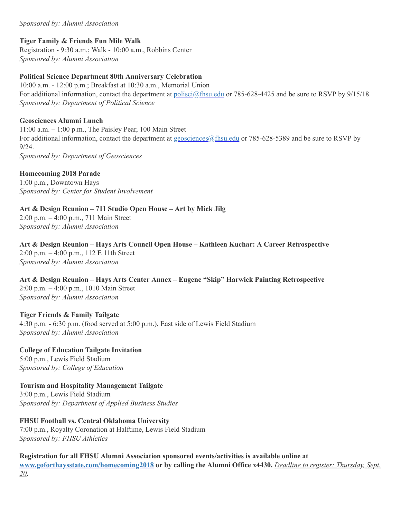#### *Sponsored by: Alumni Association*

#### **Tiger Family & Friends Fun Mile Walk**

Registration - 9:30 a.m.; Walk - 10:00 a.m., Robbins Center *Sponsored by: Alumni Association*

#### **Political Science Department 80th Anniversary Celebration**

10:00 a.m. - 12:00 p.m.; Breakfast at 10:30 a.m., Memorial Union For additional information, contact the department at [polisci@fhsu.edu](mailto:polisci@fhsu.edu) or 785-628-4425 and be sure to RSVP by 9/15/18. *Sponsored by: Department of Political Science*

#### **Geosciences Alumni Lunch**

11:00 a.m. – 1:00 p.m., The Paisley Pear, 100 Main Street For additional information, contact the department at geosciences @fhsu.edu or 785-628-5389 and be sure to RSVP by 9/24. *Sponsored by: Department of Geosciences*

#### **Homecoming 2018 Parade**

1:00 p.m., Downtown Hays *Sponsored by: Center for Student Involvement*

# **Art & Design Reunion – 711 Studio Open House – Art by Mick Jilg**

2:00 p.m. – 4:00 p.m., 711 Main Street *Sponsored by: Alumni Association*

**Art & Design Reunion – Hays Arts Council Open House – Kathleen Kuchar: A Career Retrospective** 2:00 p.m. – 4:00 p.m., 112 E 11th Street *Sponsored by: Alumni Association*

**Art & Design Reunion – Hays Arts Center Annex – Eugene "Skip" Harwick Painting Retrospective** 2:00 p.m. – 4:00 p.m., 1010 Main Street *Sponsored by: Alumni Association*

#### **Tiger Friends & Family Tailgate**

4:30 p.m. - 6:30 p.m. (food served at 5:00 p.m.), East side of Lewis Field Stadium *Sponsored by: Alumni Association*

**College of Education Tailgate Invitation** 5:00 p.m., Lewis Field Stadium *Sponsored by: College of Education*

**Tourism and Hospitality Management Tailgate** 3:00 p.m., Lewis Field Stadium *Sponsored by: Department of Applied Business Studies*

**FHSU Football vs. Central Oklahoma University** 7:00 p.m., Royalty Coronation at Halftime, Lewis Field Stadium *Sponsored by: FHSU Athletics*

**Registration for all FHSU Alumni Association sponsored events/activities is available online at [www.goforthaysstate.com/homecoming2018](https://www.goforthaysstate.com/s/947/redesign/index.aspx?sid=947&gid=1&pgid=4483&appealcode=HC18FacStaffEm082718) or by calling the Alumni Office x4430.** *Deadline to register: Thursday, Sept. 20*.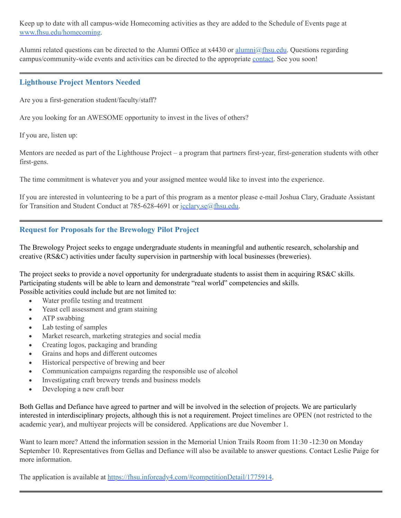Keep up to date with all campus-wide Homecoming activities as they are added to the Schedule of Events page at [www.fhsu.edu/homecoming.](http://www.fhsu.edu/homecoming)

Alumni related questions can be directed to the Alumni Office at x4430 or [alumni@fhsu.edu.](mailto:alumni@fhsu.edu) Questions regarding campus/community-wide events and activities can be directed to the appropriate [contact.](https://www.fhsu.edu/homecoming/contact/index) See you soon!

# **Lighthouse Project Mentors Needed**

Are you a first-generation student/faculty/staff?

Are you looking for an AWESOME opportunity to invest in the lives of others?

If you are, listen up:

Mentors are needed as part of the Lighthouse Project – a program that partners first-year, first-generation students with other first-gens.

The time commitment is whatever you and your assigned mentee would like to invest into the experience.

If you are interested in volunteering to be a part of this program as a mentor please e-mail Joshua Clary, Graduate Assistant for Transition and Student Conduct at 785-628-4691 or [jcclary.se@fhsu.edu](mailto:jcclary.se@fhsu.edu).

# **Request for Proposals for the Brewology Pilot Project**

The Brewology Project seeks to engage undergraduate students in meaningful and authentic research, scholarship and creative (RS&C) activities under faculty supervision in partnership with local businesses (breweries).

The project seeks to provide a novel opportunity for undergraduate students to assist them in acquiring RS&C skills. Participating students will be able to learn and demonstrate "real world" competencies and skills. Possible activities could include but are not limited to:

· Water profile testing and treatment

- · Yeast cell assessment and gram staining
- ATP swabbing
- · Lab testing of samples
- · Market research, marketing strategies and social media
- · Creating logos, packaging and branding
- · Grains and hops and different outcomes
- · Historical perspective of brewing and beer
- · Communication campaigns regarding the responsible use of alcohol
- · Investigating craft brewery trends and business models
- Developing a new craft beer

Both Gellas and Defiance have agreed to partner and will be involved in the selection of projects. We are particularly interested in interdisciplinary projects, although this is not a requirement. Project timelines are OPEN (not restricted to the academic year), and multiyear projects will be considered. Applications are due November 1.

Want to learn more? Attend the information session in the Memorial Union Trails Room from 11:30 -12:30 on Monday September 10. Representatives from Gellas and Defiance will also be available to answer questions. Contact Leslie Paige for more information.

The application is available at <https://fhsu.infoready4.com/#competitionDetail/1775914>.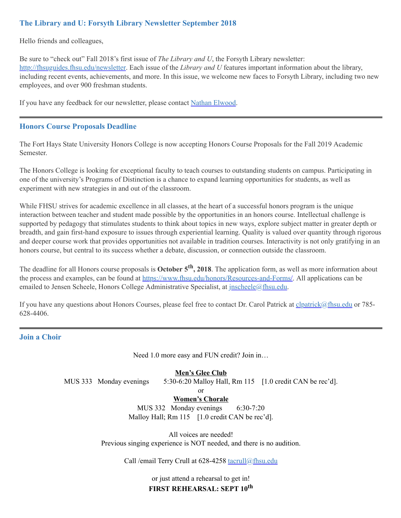# **The Library and U: Forsyth Library Newsletter September 2018**

Hello friends and colleagues,

Be sure to "check out" Fall 2018's first issue of *The Library and U*, the Forsyth Library newsletter: <http://fhsuguides.fhsu.edu/newsletter>. Each issue of the *Library and U* features important information about the library, including recent events, achievements, and more. In this issue, we welcome new faces to Forsyth Library, including two new employees, and over 900 freshman students.

If you have any feedback for our newsletter, please contact Nathan [Elwood.](mailto:neelwood@fhsu.edu)

#### **Honors Course Proposals Deadline**

The Fort Hays State University Honors College is now accepting Honors Course Proposals for the Fall 2019 Academic Semester.

The Honors College is looking for exceptional faculty to teach courses to outstanding students on campus. Participating in one of the university's Programs of Distinction is a chance to expand learning opportunities for students, as well as experiment with new strategies in and out of the classroom.

While FHSU strives for academic excellence in all classes, at the heart of a successful honors program is the unique interaction between teacher and student made possible by the opportunities in an honors course. Intellectual challenge is supported by pedagogy that stimulates students to think about topics in new ways, explore subject matter in greater depth or breadth, and gain first-hand exposure to issues through experiential learning. Quality is valued over quantity through rigorous and deeper course work that provides opportunities not available in tradition courses. Interactivity is not only gratifying in an honors course, but central to its success whether a debate, discussion, or connection outside the classroom.

The deadline for all Honors course proposals is **October 5 th , 2018**. The application form, as well as more information about the process and examples, can be found at <https://www.fhsu.edu/honors/Resources-and-Forms/>. All applications can be emailed to Jensen Scheele, Honors College Administrative Specialist, at *[jnscheele@fhsu.edu.](mailto:jnscheele@fhsu.edu)* 

If you have any questions about Honors Courses, please feel free to contact Dr. Carol Patrick at [clpatrick@fhsu.edu](mailto:clpatrick@fhsu.edu) or 785-628-4406.

#### **Join a Choir**

Need 1.0 more easy and FUN credit? Join in…

#### **Men's Glee Club**

MUS 333 Monday evenings 5:30-6:20 Malloy Hall, Rm 115 [1.0 credit CAN be rec'd].

or

#### **Women's Chorale**

MUS 332 Monday evenings 6:30-7:20 Malloy Hall; Rm 115 [1.0 credit CAN be rec'd].

All voices are needed! Previous singing experience is NOT needed, and there is no audition.

Call /email Terry Crull at 628-4258 [tacrull@fhsu.edu](mailto:tacrull@fhsu.edu)

or just attend a rehearsal to get in! **FIRST REHEARSAL: SEPT 10 th**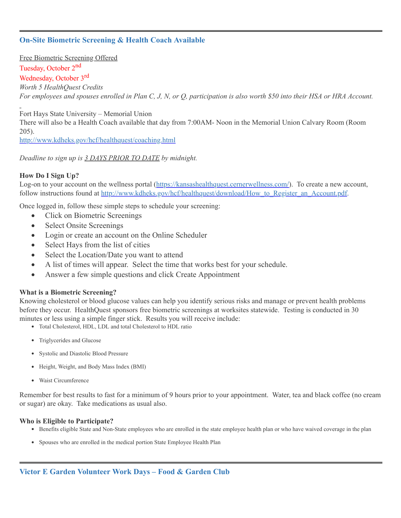# **On-Site Biometric Screening & Health Coach Available**

Free Biometric Screening Offered

# Tuesday, October 2<sup>nd</sup>

# Wednesday, October 3<sup>rd</sup>

*Worth 5 HealthQuest Credits*

For employees and spouses enrolled in Plan C, J, N, or Q, participation is also worth \$50 into their HSA or HRA Account.

Fort Hays State University – Memorial Union There will also be a Health Coach available that day from 7:00AM- Noon in the Memorial Union Calvary Room (Room 205).

<http://www.kdheks.gov/hcf/healthquest/coaching.html>

*Deadline to sign up is 3 DAYS PRIOR TO DATE by midnight.*

#### **How Do I Sign Up?**

Log-on to your account on the wellness portal [\(https://kansashealthquest.cernerwellness.com/\)](https://kansashealthquest.cernerwellness.com/). To create a new account, follow instructions found at [http://www.kdheks.gov/hcf/healthquest/download/How\\_to\\_Register\\_an\\_Account.pdf](http://www.kdheks.gov/hcf/healthquest/download/How_to_Register_an_Account.pdf).

Once logged in, follow these simple steps to schedule your screening:

- Click on Biometric Screenings
- Select Onsite Screenings
- Login or create an account on the Online Scheduler
- Select Hays from the list of cities
- Select the Location/Date you want to attend
- · A list of times will appear. Select the time that works best for your schedule.
- Answer a few simple questions and click Create Appointment

#### **What is a Biometric Screening?**

Knowing cholesterol or blood glucose values can help you identify serious risks and manage or prevent health problems before they occur. HealthQuest sponsors free biometric screenings at worksites statewide. Testing is conducted in 30 minutes or less using a simple finger stick. Results you will receive include:

- <span id="page-8-0"></span>Total Cholesterol, HDL, LDL and total Cholesterol to HDL ratio
- Triglycerides and Glucose
- Systolic and Diastolic Blood Pressure
- Height, Weight, and Body Mass Index (BMI)
- Waist Circumference

Remember for best results to fast for a minimum of 9 hours prior to your appointment. Water, tea and black coffee (no cream or sugar) are okay. Take medications as usual also.

#### **Who is Eligible to Participate?**

- Benefits eligible State and Non-State employees who are enrolled in the state employee health plan or who have waived coverage in the plan
- Spouses who are enrolled in the medical portion State Employee Health Plan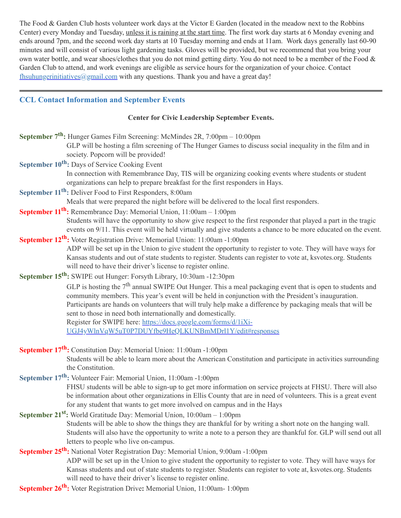The Food & Garden Club hosts volunteer work days at the Victor E Garden (located in the meadow next to the Robbins Center) every Monday and Tuesday, unless it is raining at the start time. The first work day starts at 6 Monday evening and ends around 7pm, and the second work day starts at 10 Tuesday morning and ends at 11am. Work days generally last 60-90 minutes and will consist of various light gardening tasks. Gloves will be provided, but we recommend that you bring your own water bottle, and wear shoes/clothes that you do not mind getting dirty. You do not need to be a member of the Food & Garden Club to attend, and work evenings are eligible as service hours for the organization of your choice. Contact  $f$ hsuhungerinitiatives@gmail.com with any questions. Thank you and have a great day!

# **CCL Contact Information and September Events**

#### **Center for Civic Leadership September Events.**

| September 7 <sup>th</sup> : Hunger Games Film Screening: McMindes 2R, 7:00pm - 10:00pm<br>GLP will be hosting a film screening of The Hunger Games to discuss social inequality in the film and in                                |
|-----------------------------------------------------------------------------------------------------------------------------------------------------------------------------------------------------------------------------------|
| society. Popcorn will be provided!                                                                                                                                                                                                |
| September 10 <sup>th</sup> : Days of Service Cooking Event                                                                                                                                                                        |
| In connection with Remembrance Day, TIS will be organizing cooking events where students or student                                                                                                                               |
| organizations can help to prepare breakfast for the first responders in Hays.                                                                                                                                                     |
| September 11 <sup>th</sup> : Deliver Food to First Responders, 8:00am                                                                                                                                                             |
| Meals that were prepared the night before will be delivered to the local first responders.                                                                                                                                        |
| September 11 <sup>th</sup> : Remembrance Day: Memorial Union, 11:00am - 1:00pm                                                                                                                                                    |
| Students will have the opportunity to show give respect to the first responder that played a part in the tragic<br>events on 9/11. This event will be held virtually and give students a chance to be more educated on the event. |
| September 12 <sup>th</sup> : Voter Registration Drive: Memorial Union: 11:00am -1:00pm                                                                                                                                            |
| ADP will be set up in the Union to give student the opportunity to register to vote. They will have ways for                                                                                                                      |
| Kansas students and out of state students to register. Students can register to vote at, ksvotes.org. Students                                                                                                                    |
| will need to have their driver's license to register online.                                                                                                                                                                      |
| September 15 <sup>th</sup> : SWIPE out Hunger: Forsyth Library, 10:30am -12:30pm                                                                                                                                                  |
| GLP is hosting the $7th$ annual SWIPE Out Hunger. This a meal packaging event that is open to students and                                                                                                                        |
| community members. This year's event will be held in conjunction with the President's inauguration.                                                                                                                               |
| Participants are hands on volunteers that will truly help make a difference by packaging meals that will be                                                                                                                       |
| sent to those in need both internationally and domestically.                                                                                                                                                                      |
| Register for SWIPE here: https://docs.google.com/forms/d/1iXi-                                                                                                                                                                    |
| UGJ4yWlnVqW5uT0P7DUYfbe9HeQLKUNBmMDrl1Y/edit#responses                                                                                                                                                                            |
| September 17 <sup>th</sup> : Constitution Day: Memorial Union: 11:00am -1:00pm                                                                                                                                                    |
| Students will be able to learn more about the American Constitution and participate in activities surrounding                                                                                                                     |
| the Constitution.                                                                                                                                                                                                                 |
| September 17 <sup>th</sup> : Volunteer Fair: Memorial Union, 11:00am -1:00pm                                                                                                                                                      |
| FHSU students will be able to sign-up to get more information on service projects at FHSU. There will also                                                                                                                        |
| be information about other organizations in Ellis County that are in need of volunteers. This is a great event                                                                                                                    |
| for any student that wants to get more involved on campus and in the Hays                                                                                                                                                         |
| September 21 <sup>st</sup> : World Gratitude Day: Memorial Union, 10:00am - 1:00pm                                                                                                                                                |
| Students will be able to show the things they are thankful for by writing a short note on the hanging wall.                                                                                                                       |
| Students will also have the opportunity to write a note to a person they are thankful for. GLP will send out all                                                                                                                  |
| letters to people who live on-campus.                                                                                                                                                                                             |
| September 25 <sup>th</sup> : National Voter Registration Day: Memorial Union, 9:00am -1:00pm                                                                                                                                      |
| ADP will be set up in the Union to give student the opportunity to register to vote. They will have ways for                                                                                                                      |
| Kansas students and out of state students to register. Students can register to vote at, ksvotes.org. Students                                                                                                                    |
| will need to have their driver's license to register online.                                                                                                                                                                      |
| September 26 <sup>th</sup> : Voter Registration Drive: Memorial Union, 11:00am- 1:00pm                                                                                                                                            |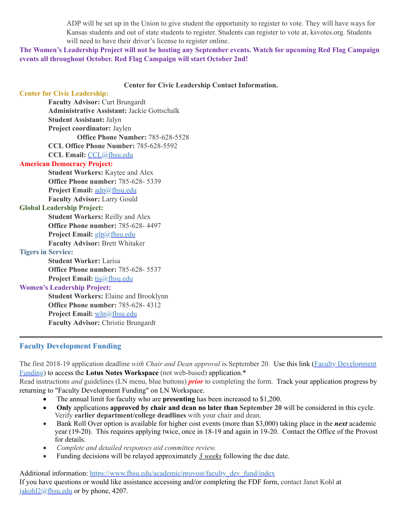ADP will be set up in the Union to give student the opportunity to register to vote. They will have ways for Kansas students and out of state students to register. Students can register to vote at, ksvotes.org. Students will need to have their driver's license to register online.

The Women's Leadership Project will not be hosting any September events. Watch for upcoming Red Flag Campaign **events all throughout October. Red Flag Campaign will start October 2nd!**

#### <span id="page-10-0"></span>**Center for Civic Leadership Contact Information.**

| <b>Center for Civic Leadership:</b>                |  |
|----------------------------------------------------|--|
| <b>Faculty Advisor: Curt Brungardt</b>             |  |
| <b>Administrative Assistant: Jackie Gottschalk</b> |  |
| <b>Student Assistant: Jalyn</b>                    |  |
| Project coordinator: Jaylen                        |  |
| Office Phone Number: 785-628-5528                  |  |
| CCL Office Phone Number: 785-628-5592              |  |
| CCL Email: CCL@fhsu.edu                            |  |
| <b>American Democracy Project:</b>                 |  |
| <b>Student Workers: Kaytee and Alex</b>            |  |
| <b>Office Phone number: 785-628-5339</b>           |  |
| Project Email: adp@fhsu.edu                        |  |
| <b>Faculty Advisor: Larry Gould</b>                |  |
| <b>Global Leadership Project:</b>                  |  |
| <b>Student Workers: Reilly and Alex</b>            |  |
| Office Phone number: 785-628-4497                  |  |
| Project Email: glp@fhsu.edu                        |  |
| <b>Faculty Advisor: Brett Whitaker</b>             |  |
| <b>Tigers in Service:</b>                          |  |
| <b>Student Worker: Larisa</b>                      |  |
| <b>Office Phone number: 785-628- 5537</b>          |  |
| <b>Project Email:</b> tis@fhsu.edu                 |  |
| <b>Women's Leadership Project:</b>                 |  |
| <b>Student Workers: Elaine and Brooklynn</b>       |  |
| <b>Office Phone number: 785-628-4312</b>           |  |
| Project Email: wlp@fhsu.edu                        |  |
| <b>Faculty Advisor: Christie Brungardt</b>         |  |
|                                                    |  |

#### **Faculty Development Funding**

The first 2018-19 application deadline *with Chair and Dean approval* is September 20. Use this link (Faculty [Development](notes://LNapps/86257474006926D5) Funding) to access the **Lotus Notes Workspace** (not web-based) application. \*

Read instructions *and* guidelines (LN menu, blue buttons) *prior* to completing the form. Track your application progress by returning to "Faculty Development Funding" on LN Workspace.

- The annual limit for faculty who are **presenting** has been increased to \$1,200.
- · **Only** applications **approved by chair and dean no later than September 20** will be considered in this cycle. Verify **earlier department/college deadlines** with your chair and dean.
- Bank Roll Over option is available for higher cost events (more than \$3,000) taking place in the *next* academic year (19-20). This requires applying twice, once in 18-19 and again in 19-20. Contact the Office of the Provost for details.
- · *Complete and detailed responses aid committee review.*
- <span id="page-10-1"></span>Funding decisions will be relayed approximately 3 weeks following the due date.

Additional information: [https://www.fhsu.edu/academic/provost/faculty\\_dev\\_fund/index](https://www.fhsu.edu/academic/provost/faculty_dev_fund/index)

If you have questions or would like assistance accessing and/or completing the FDF form, contact Janet Kohl at  $jakoh<sub>12</sub>(*a*)$ fhsu.edu or by phone, 4207.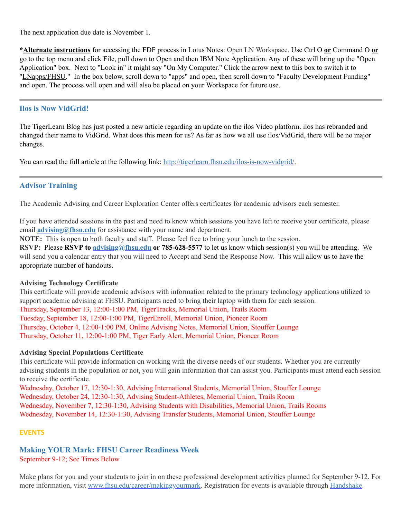The next application due date is November 1.

**\*Alternate instructions** for accessing the FDF process in Lotus Notes: Open LN Workspace. Use Ctrl O **or** Command O **or** go to the top menu and click File, pull down to Open and then IBM Note Application. Any of these will bring up the "Open Application" box. Next to "Look in" it might say "On My Computer. " Click the arrow next to this box to switch it to "LNapps/FHSU." In the box below, scroll down to "apps" and open, then scroll down to "Faculty Development Funding" and open. The process will open and will also be placed on your Workspace for future use.

# **Ilos is Now VidGrid!**

The TigerLearn Blog has just posted a new article regarding an update on the ilos Video platform. ilos has rebranded and changed their name to VidGrid. What does this mean for us? As far as how we all use ilos/VidGrid, there will be no major changes.

You can read the full article at the following link: [http://tigerlearn.fhsu.edu/ilos-is-now-vidgrid/.](http://tigerlearn.fhsu.edu/ilos-is-now-vidgrid/)

# **Advisor Training**

The Academic Advising and Career Exploration Center offers certificates for academic advisors each semester.

If you have attended sessions in the past and need to know which sessions you have left to receive your certificate, please email **[advising@fhsu.edu](mailto:advising@fhsu.edu)** for assistance with your name and department.

**NOTE:** This is open to both faculty and staff. Please feel free to bring your lunch to the session.

**RSVP:** Please **RSVP to [advising@fhsu.edu](mailto:advising@fhsu.edu) or 785-628-5577** to let us know which session(s) you will be attending. We will send you a calendar entry that you will need to Accept and Send the Response Now. This will allow us to have the appropriate number of handouts.

#### **Advising Technology Certificate**

<span id="page-11-0"></span>This certificate will provide academic advisors with information related to the primary technology applications utilized to support academic advising at FHSU. Participants need to bring their laptop with them for each session. Thursday, September 13, 12:00-1:00 PM, TigerTracks, Memorial Union, Trails Room Tuesday, September 18, 12:00-1:00 PM, TigerEnroll, Memorial Union, Pioneer Room Thursday, October 4, 12:00-1:00 PM, Online Advising Notes, Memorial Union, Stouffer Lounge Thursday, October 11, 12:00-1:00 PM, Tiger Early Alert, Memorial Union, Pioneer Room

#### **Advising Special Populations Certificate**

This certificate will provide information on working with the diverse needs of our students. Whether you are currently advising students in the population or not, you will gain information that can assist you. Participants must attend each session to receive the certificate.

Wednesday, October 17, 12:30-1:30, Advising International Students, Memorial Union, Stouffer Lounge Wednesday, October 24, 12:30-1:30, Advising Student-Athletes, Memorial Union, Trails Room Wednesday, November 7, 12:30-1:30, Advising Students with Disabilities, Memorial Union, Trails Rooms Wednesday, November 14, 12:30-1:30, Advising Transfer Students, Memorial Union, Stouffer Lounge

#### **EVENTS**

**Making YOUR Mark: FHSU Career Readiness Week** September 9-12; See Times Below

Make plans for you and your students to join in on these professional development activities planned for September 9-12. For more information, visit [www.fhsu.edu/career/makingyourmark.](http://www.fhsu.edu/career/makingyourmark) Registration for events is available through [Handshake.](https://fhsu.joinhandshake.com/login)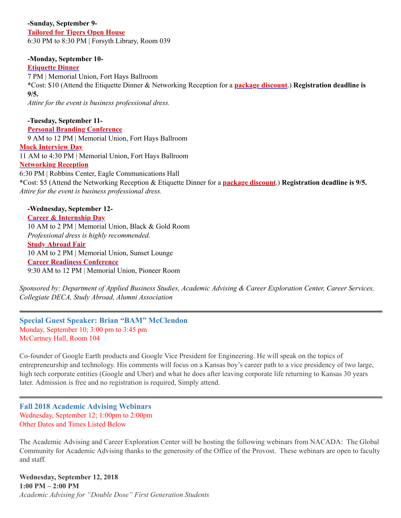# **-Sunday, September 9-**

**[Tailored](https://fhsu.joinhandshake.com/events/168069/share_preview) for Tigers Open House** 6:30 PM to 8:30 PM | Forsyth Library, Room 039

# **-Monday, September 10-**

**[Etiquette](https://fhsu.joinhandshake.com/events/169683/share_preview) Dinner**

7 PM | Memorial Union, Fort Hays Ballroom \*Cost: \$10 (Attend the Etiquette Dinner & Networking Reception for a **package [discount](https://fhsu.joinhandshake.com/events/169687/share_preview)**.) **Registration deadline is 9/5.**

*Attire for the event is business professional dress.*

**-Tuesday, September 11- Personal Branding [Conference](https://fhsu.joinhandshake.com/events/182831/share_preview)** 9 AM to 12 PM | Memorial Union, Fort Hays Ballroom **Mock [Interview](https://fhsu.joinhandshake.com/jobs/1760748/share_preview) Day** 11 AM to 4:30 PM | Memorial Union, Fort Hays Ballroom **[Networking](https://fhsu.joinhandshake.com/events/170216/share_preview) Reception** 6:30 PM | Robbins Center, Eagle Communications Hall \*Cost: \$5 (Attend the Networking Reception & Etiquette Dinner for a **package [discount](https://fhsu.joinhandshake.com/events/169687/share_preview)**.) **Registration deadline is 9/5.** *Attire for the event is business professional dress.* **-Wednesday, September 12-**

**Career & [Internship](https://fhsu.joinhandshake.com/career_fairs/4984/student_preview) Day** 10 AM to 2 PM | Memorial Union, Black & Gold Room *Professional dress is highly recommended.* **Study [Abroad](https://fhsu.joinhandshake.com/events/182794/share_preview) Fair** 10 AM to 2 PM | Memorial Union, Sunset Lounge **Career Readiness [Conference](https://fhsu.joinhandshake.com/career_fairs/4984/student_preview)** 9:30 AM to 12 PM | Memorial Union, Pioneer Room

*Sponsored by: Department of Applied Business Studies, Academic Advising & Career Exploration Center, Career Services, Collegiate DECA, Study Abroad, Alumni Association*

**Special Guest Speaker: Brian "BAM" McClendon** Monday, September 10; 3:00 pm to 3:45 pm McCartney Hall, Room 104

Co-founder of Google Earth products and Google Vice President for Engineering. He will speak on the topics of entrepreneurship and technology. His comments will focus on a Kansas boy's career path to a vice presidency of two large, high tech corporate entities (Google and Uber) and what he does after leaving corporate life returning to Kansas 30 years later. Admission is free and no registration is required, Simply attend.

**Fall 2018 Academic Advising Webinars** Wednesday, September 12; 1:00pm to 2:00pm Other Dates and Times Listed Below

The Academic Advising and Career Exploration Center will be hosting the following webinars from NACADA: The Global Community for Academic Advising thanks to the generosity of the Office of the Provost. These webinars are open to faculty and staff.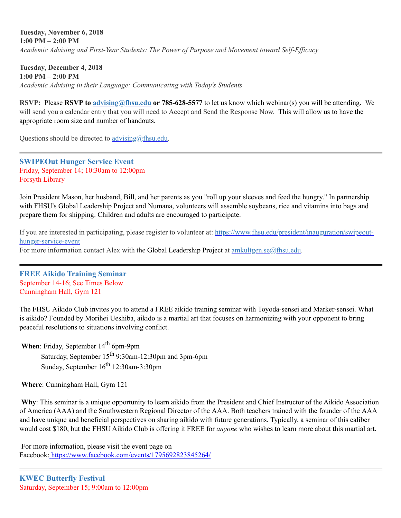**Tuesday, November 6, 2018 1:00 PM – 2:00 PM** *Academic Advising and First-Year Students: The Power of Purpose and Movement toward Self-Efficacy*

**Tuesday, December 4, 2018 1:00 PM – 2:00 PM** *Academic Advising in their Language: Communicating with Today's Students*

**RSVP:** Please **RSVP to [advising@fhsu.edu](mailto:advising@fhsu.edu) or 785-628-5577** to let us know which webinar(s) you will be attending. We will send you a calendar entry that you will need to Accept and Send the Response Now. This will allow us to have the appropriate room size and number of handouts.

Questions should be directed to  $\frac{advising(\hat{a})fhsu.edu.}{a}$ 

**SWIPEOut Hunger Service Event** Friday, September 14; 10:30am to 12:00pm Forsyth Library

<span id="page-13-0"></span>Join President Mason, her husband, Bill, and her parents as you "roll up your sleeves and feed the hungry. " In partnership with FHSU's Global Leadership Project and Numana, volunteers will assemble soybeans, rice and vitamins into bags and prepare them for shipping. Children and adults are encouraged to participate.

If you are interested in participating, please register to volunteer at: [https://www.fhsu.edu/president/inauguration/swipeout](https://www.fhsu.edu/president/inauguration/swipeout-hunger-service-event)hunger-service-event For more information contact Alex with the Global Leadership Project at  $\frac{amkultgen.se(0)}{fhsu.edu}$ .

**FREE Aikido Training Seminar** September 14-16; See Times Below Cunningham Hall, Gym 121

The FHSU Aikido Club invites you to attend a FREE aikido training seminar with Toyoda-sensei and Marker-sensei. What is aikido? Founded by Morihei Ueshiba, aikido is a martial art that focuses on harmonizing with your opponent to bring peaceful resolutions to situations involving conflict.

When: Friday, September 14<sup>th</sup> 6pm-9pm

Saturday, September 15<sup>th</sup> 9:30am-12:30pm and 3pm-6pm Sunday, September 16<sup>th</sup> 12:30am-3:30pm

**Where**: Cunningham Hall, Gym 121

**Why**: This seminar is a unique opportunity to learn aikido from the President and Chief Instructor of the Aikido Association of America (AAA) and the Southwestern Regional Director of the AAA. Both teachers trained with the founder of the AAA and have unique and beneficial perspectives on sharing aikido with future generations. Typically, a seminar of this caliber would cost \$180, but the FHSU Aikido Club is offering it FREE for *anyone* who wishes to learn more about this martial art.

For more information, please visit the event page on Facebook: <https://www.facebook.com/events/1795692823845264/>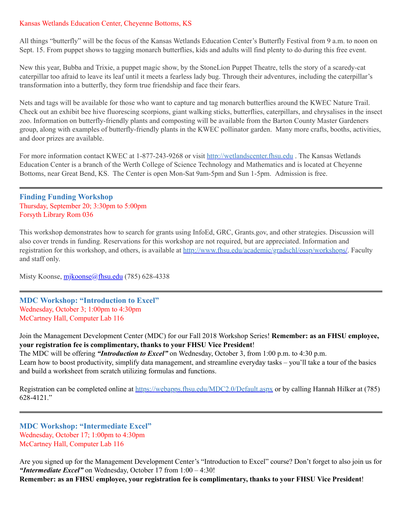#### Kansas Wetlands Education Center, Cheyenne Bottoms, KS

All things "butterfly" will be the focus of the Kansas Wetlands Education Center's Butterfly Festival from 9 a.m. to noon on Sept. 15. From puppet shows to tagging monarch butterflies, kids and adults will find plenty to do during this free event.

New this year, Bubba and Trixie, a puppet magic show, by the StoneLion Puppet Theatre, tells the story of a scaredy-cat caterpillar too afraid to leave its leaf until it meets a fearless lady bug. Through their adventures, including the caterpillar's transformation into a butterfly, they form true friendship and face their fears.

Nets and tags will be available for those who want to capture and tag monarch butterflies around the KWEC Nature Trail. Check out an exhibit bee hive fluorescing scorpions, giant walking sticks, butterflies, caterpillars, and chrysalises in the insect zoo. Information on butterfly-friendly plants and composting will be available from the Barton County Master Gardeners group, along with examples of butterfly-friendly plants in the KWEC pollinator garden. Many more crafts, booths, activities, and door prizes are available.

For more information contact KWEC at 1-877-243-9268 or visit [http://wetlandscenter.fhsu.edu](http://wetlandscenter.fhsu.edu/) . The Kansas Wetlands Education Center is a branch of the Werth College of Science Technology and Mathematics and is located at Cheyenne Bottoms, near Great Bend, KS. The Center is open Mon-Sat 9am-5pm and Sun 1-5pm. Admission is free.

**Finding Funding Workshop** Thursday, September 20; 3:30pm to 5:00pm Forsyth Library Rom 036

This workshop demonstrates how to search for grants using InfoEd, GRC, Grants.gov, and other strategies. Discussion will also cover trends in funding. Reservations for this workshop are not required, but are appreciated. Information and registration for this workshop, and others, is available at [http://www.fhsu.edu/academic/gradschl/ossp/workshops/.](http://www.fhsu.edu/academic/gradschl/ossp/workshops/) Faculty and staff only.

Misty Koonse, [mjkoonse@fhsu.edu](mailto:mjkoonse@fhsu.edu) (785) 628-4338

**MDC Workshop: "Introduction to Excel"** Wednesday, October 3; 1:00pm to 4:30pm McCartney Hall, Computer Lab 116

Join the Management Development Center (MDC) for our Fall 2018 Workshop Series! **Remember: as an FHSU employee, your registration fee is complimentary, thanks to your FHSU Vice President**!

The MDC will be offering *"Introduction to Excel"* on Wednesday, October 3, from 1:00 p.m. to 4:30 p.m. Learn how to boost productivity, simplify data management, and streamline everyday tasks – you'll take a tour of the basics and build a worksheet from scratch utilizing formulas and functions.

Registration can be completed online at <https://webapps.fhsu.edu/MDC2.0/Default.aspx> or by calling Hannah Hilker at (785) 628-4121. "

**MDC Workshop: "Intermediate Excel"** Wednesday, October 17; 1:00pm to 4:30pm McCartney Hall, Computer Lab 116

Are you signed up for the Management Development Center's "Introduction to Excel" course? Don't forget to also join us for *"Intermediate Excel"* on Wednesday, October 17 from 1:00 – 4:30!

**Remember: as an FHSU employee, your registration fee is complimentary, thanks to your FHSU Vice President**!